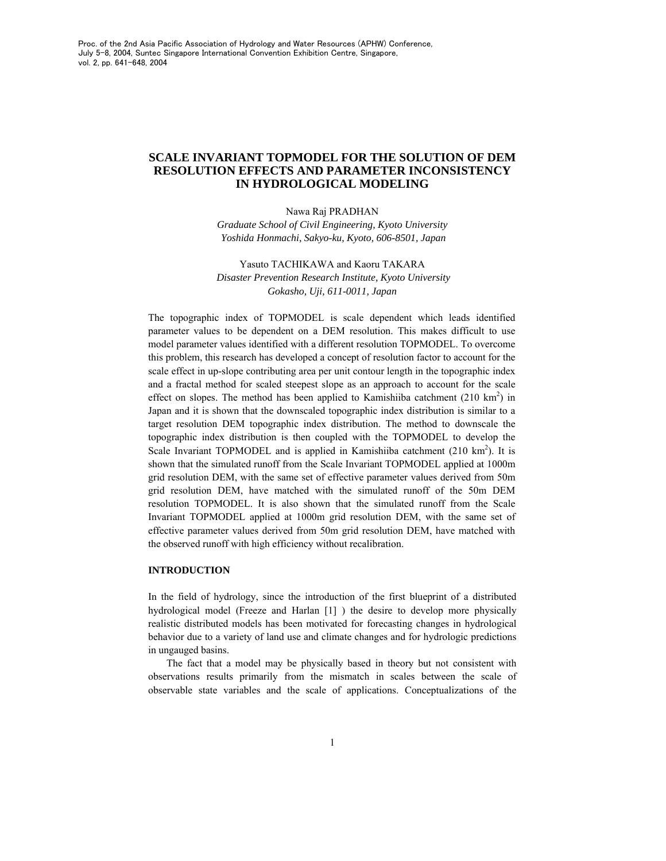# **SCALE INVARIANT TOPMODEL FOR THE SOLUTION OF DEM RESOLUTION EFFECTS AND PARAMETER INCONSISTENCY IN HYDROLOGICAL MODELING**

#### Nawa Raj PRADHAN

*Graduate School of Civil Engineering, Kyoto University Yoshida Honmachi, Sakyo-ku, Kyoto, 606-8501, Japan* 

## Yasuto TACHIKAWA and Kaoru TAKARA *Disaster Prevention Research Institute, Kyoto University Gokasho, Uji, 611-0011, Japan*

The topographic index of TOPMODEL is scale dependent which leads identified parameter values to be dependent on a DEM resolution. This makes difficult to use model parameter values identified with a different resolution TOPMODEL. To overcome this problem, this research has developed a concept of resolution factor to account for the scale effect in up-slope contributing area per unit contour length in the topographic index and a fractal method for scaled steepest slope as an approach to account for the scale effect on slopes. The method has been applied to Kamishiiba catchment  $(210 \text{ km}^2)$  in Japan and it is shown that the downscaled topographic index distribution is similar to a target resolution DEM topographic index distribution. The method to downscale the topographic index distribution is then coupled with the TOPMODEL to develop the Scale Invariant TOPMODEL and is applied in Kamishiiba catchment (210 km<sup>2</sup>). It is shown that the simulated runoff from the Scale Invariant TOPMODEL applied at 1000m grid resolution DEM, with the same set of effective parameter values derived from 50m grid resolution DEM, have matched with the simulated runoff of the 50m DEM resolution TOPMODEL. It is also shown that the simulated runoff from the Scale Invariant TOPMODEL applied at 1000m grid resolution DEM, with the same set of effective parameter values derived from 50m grid resolution DEM, have matched with the observed runoff with high efficiency without recalibration.

## **INTRODUCTION**

In the field of hydrology, since the introduction of the first blueprint of a distributed hydrological model (Freeze and Harlan [1] ) the desire to develop more physically realistic distributed models has been motivated for forecasting changes in hydrological behavior due to a variety of land use and climate changes and for hydrologic predictions in ungauged basins.

The fact that a model may be physically based in theory but not consistent with observations results primarily from the mismatch in scales between the scale of observable state variables and the scale of applications. Conceptualizations of the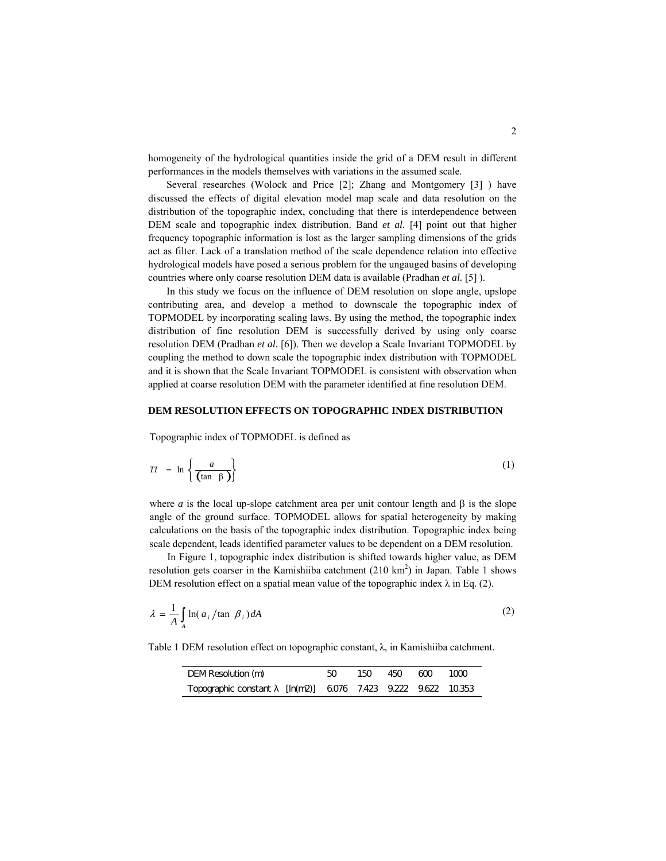homogeneity of the hydrological quantities inside the grid of a DEM result in different performances in the models themselves with variations in the assumed scale.

Several researches (Wolock and Price [2]; Zhang and Montgomery [3] ) have discussed the effects of digital elevation model map scale and data resolution on the distribution of the topographic index, concluding that there is interdependence between DEM scale and topographic index distribution. Band *et al.* [4] point out that higher frequency topographic information is lost as the larger sampling dimensions of the grids act as filter. Lack of a translation method of the scale dependence relation into effective hydrological models have posed a serious problem for the ungauged basins of developing countries where only coarse resolution DEM data is available (Pradhan *et al.* [5] ).

In this study we focus on the influence of DEM resolution on slope angle, upslope contributing area, and develop a method to downscale the topographic index of TOPMODEL by incorporating scaling laws. By using the method, the topographic index distribution of fine resolution DEM is successfully derived by using only coarse resolution DEM (Pradhan *et al.* [6]). Then we develop a Scale Invariant TOPMODEL by coupling the method to down scale the topographic index distribution with TOPMODEL and it is shown that the Scale Invariant TOPMODEL is consistent with observation when applied at coarse resolution DEM with the parameter identified at fine resolution DEM.

#### **DEM RESOLUTION EFFECTS ON TOPOGRAPHIC INDEX DISTRIBUTION**

Topographic index of TOPMODEL is defined as

$$
TI = \ln\left\{\frac{a}{\tan\ \beta}\right\} \tag{1}
$$

where *a* is the local up-slope catchment area per unit contour length and  $\beta$  is the slope angle of the ground surface. TOPMODEL allows for spatial heterogeneity by making calculations on the basis of the topographic index distribution. Topographic index being scale dependent, leads identified parameter values to be dependent on a DEM resolution.

In Figure 1, topographic index distribution is shifted towards higher value, as DEM resolution gets coarser in the Kamishiiba catchment  $(210 \text{ km}^2)$  in Japan. Table 1 shows DEM resolution effect on a spatial mean value of the topographic index  $\lambda$  in Eq. (2).

$$
\lambda = \frac{1}{A} \int_{A} \ln(a_i / \tan \beta_i) dA \tag{2}
$$

Table 1 DEM resolution effect on topographic constant, λ, in Kamishiiba catchment.

| DEM Resolution (m)                                          | 50. | 150. | 450 600 | 1000 |
|-------------------------------------------------------------|-----|------|---------|------|
| Topographic constant [ln(m2)] 6076 7.423 9.222 9.622 10.353 |     |      |         |      |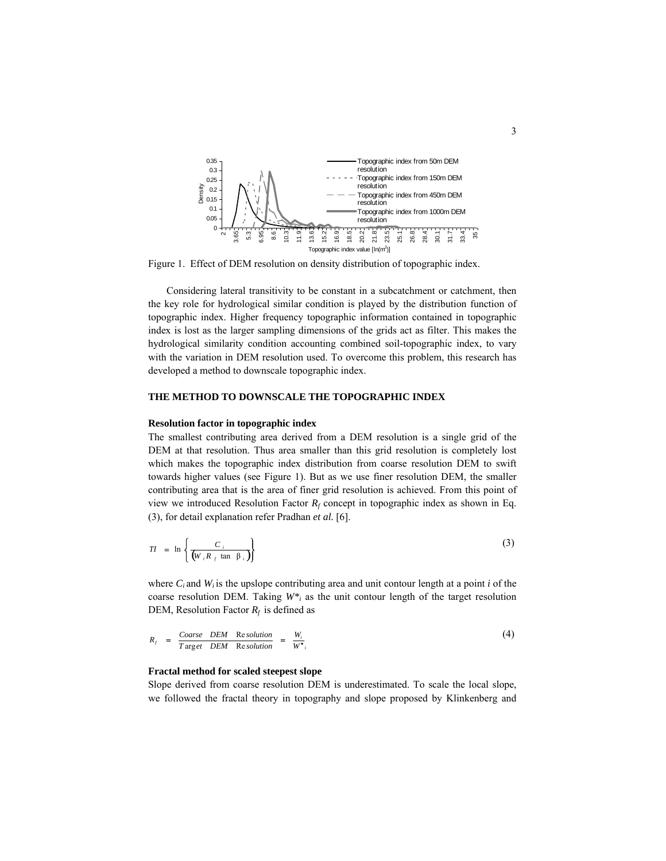

Figure 1. Effect of DEM resolution on density distribution of topographic index.

Considering lateral transitivity to be constant in a subcatchment or catchment, then the key role for hydrological similar condition is played by the distribution function of topographic index. Higher frequency topographic information contained in topographic index is lost as the larger sampling dimensions of the grids act as filter. This makes the hydrological similarity condition accounting combined soil-topographic index, to vary with the variation in DEM resolution used. To overcome this problem, this research has developed a method to downscale topographic index.

## **THE METHOD TO DOWNSCALE THE TOPOGRAPHIC INDEX**

#### **Resolution factor in topographic index**

The smallest contributing area derived from a DEM resolution is a single grid of the DEM at that resolution. Thus area smaller than this grid resolution is completely lost which makes the topographic index distribution from coarse resolution DEM to swift towards higher values (see Figure 1). But as we use finer resolution DEM, the smaller contributing area that is the area of finer grid resolution is achieved. From this point of view we introduced Resolution Factor  $R_f$  concept in topographic index as shown in Eq. (3), for detail explanation refer Pradhan *et al.* [6].

$$
TI = \ln \left\{ \frac{C_i}{W_i R_f \tan \beta_i} \right\}
$$
 (3)

where  $C_i$  and  $W_i$  is the upslope contributing area and unit contour length at a point  $i$  of the coarse resolution DEM. Taking *W\*i* as the unit contour length of the target resolution DEM, Resolution Factor  $R_f$  is defined as

$$
R_f = \frac{Coarse\quad DEM \quad Resolution}{T \, \text{arg} et \quad DEM \quad Resolution} = \frac{W_i}{W^*}
$$
\n<sup>(4)</sup>

#### **Fractal method for scaled steepest slope**

Slope derived from coarse resolution DEM is underestimated. To scale the local slope, we followed the fractal theory in topography and slope proposed by Klinkenberg and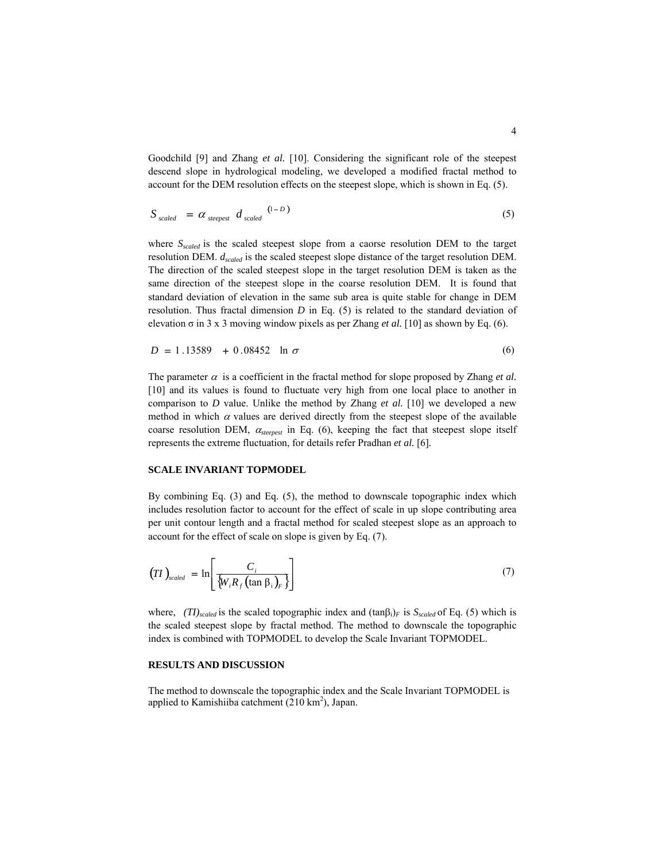Goodchild [9] and Zhang *et al.* [10]. Considering the significant role of the steepest descend slope in hydrological modeling, we developed a modified fractal method to account for the DEM resolution effects on the steepest slope, which is shown in Eq. (5).

$$
S_{scaled} = \alpha_{steepest} d_{scaled} \tbinom{(1-D)}{}
$$
 (5)

where *S<sub>scaled</sub>* is the scaled steepest slope from a caorse resolution DEM to the target resolution DEM. *dscaled* is the scaled steepest slope distance of the target resolution DEM. The direction of the scaled steepest slope in the target resolution DEM is taken as the same direction of the steepest slope in the coarse resolution DEM. It is found that standard deviation of elevation in the same sub area is quite stable for change in DEM resolution. Thus fractal dimension *D* in Eq. (5) is related to the standard deviation of elevation  $\sigma$  in 3 x 3 moving window pixels as per Zhang *et al.* [10] as shown by Eq. (6).

$$
D = 1.13589 + 0.08452 \ln \sigma \tag{6}
$$

The parameter  $\alpha$  is a coefficient in the fractal method for slope proposed by Zhang *et al.* [10] and its values is found to fluctuate very high from one local place to another in comparison to *D* value. Unlike the method by Zhang *et al.* [10] we developed a new method in which  $\alpha$  values are derived directly from the steepest slope of the available coarse resolution DEM, <sup>α</sup>*steepest* in Eq. (6), keeping the fact that steepest slope itself represents the extreme fluctuation, for details refer Pradhan *et al.* [6]*.*

## **SCALE INVARIANT TOPMODEL**

By combining Eq. (3) and Eq. (5), the method to downscale topographic index which includes resolution factor to account for the effect of scale in up slope contributing area per unit contour length and a fractal method for scaled steepest slope as an approach to account for the effect of scale on slope is given by Eq. (7).

$$
(7I)_{\text{scaled}} = \ln \left[ \frac{C_i}{\{W_i R_f (\tan \beta_i)_F\}} \right] \tag{7}
$$

where, *(TI)scaled* is the scaled topographic index and (tanβi)*F* is *Sscaled* of Eq. (5) which is the scaled steepest slope by fractal method. The method to downscale the topographic index is combined with TOPMODEL to develop the Scale Invariant TOPMODEL.

## **RESULTS AND DISCUSSION**

The method to downscale the topographic index and the Scale Invariant TOPMODEL is applied to Kamishiiba catchment  $(210 \text{ km}^2)$ , Japan.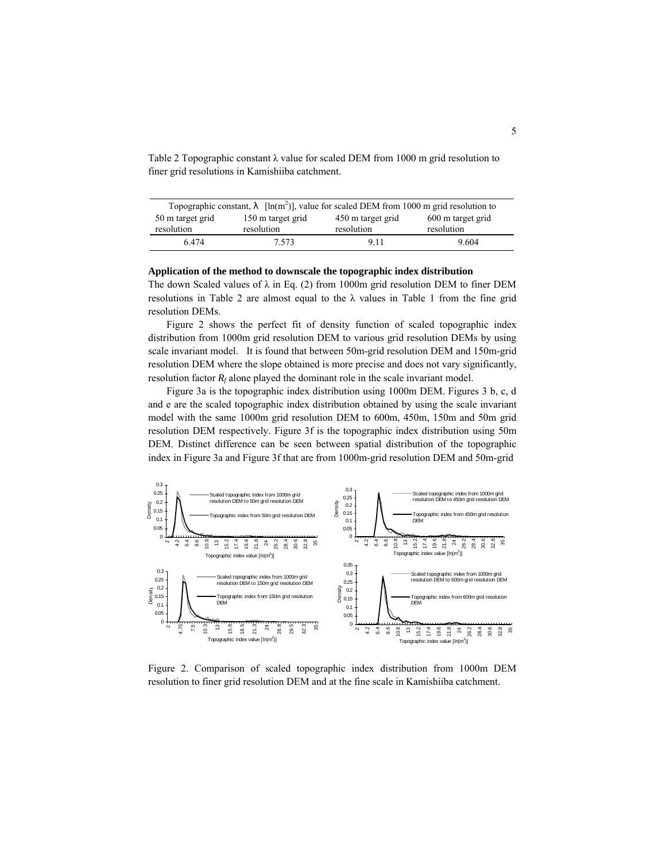Table 2 Topographic constant  $\lambda$  value for scaled DEM from 1000 m grid resolution to finer grid resolutions in Kamishiiba catchment.

| Topographic constant,          |                                 | $[\ln(m^2)]$ , value for scaled DEM from 1000 m grid resolution to |                                 |
|--------------------------------|---------------------------------|--------------------------------------------------------------------|---------------------------------|
| 50 m target grid<br>resolution | 150 m target grid<br>resolution | 450 m target grid<br>resolution                                    | 600 m target grid<br>resolution |
| 6474                           | 7.573                           | 911                                                                | 9.604                           |

## **Application of the method to downscale the topographic index distribution**

The down Scaled values of  $\lambda$  in Eq. (2) from 1000m grid resolution DEM to finer DEM resolutions in Table 2 are almost equal to the  $\lambda$  values in Table 1 from the fine grid resolution DEMs.

Figure 2 shows the perfect fit of density function of scaled topographic index distribution from 1000m grid resolution DEM to various grid resolution DEMs by using scale invariant model. It is found that between 50m-grid resolution DEM and 150m-grid resolution DEM where the slope obtained is more precise and does not vary significantly, resolution factor  $R_f$  alone played the dominant role in the scale invariant model.

Figure 3a is the topographic index distribution using 1000m DEM. Figures 3 b, c, d and e are the scaled topographic index distribution obtained by using the scale invariant model with the same 1000m grid resolution DEM to 600m, 450m, 150m and 50m grid resolution DEM respectively. Figure 3f is the topographic index distribution using 50m DEM. Distinct difference can be seen between spatial distribution of the topographic index in Figure 3a and Figure 3f that are from 1000m-grid resolution DEM and 50m-grid



Figure 2. Comparison of scaled topographic index distribution from 1000m DEM resolution to finer grid resolution DEM and at the fine scale in Kamishiiba catchment.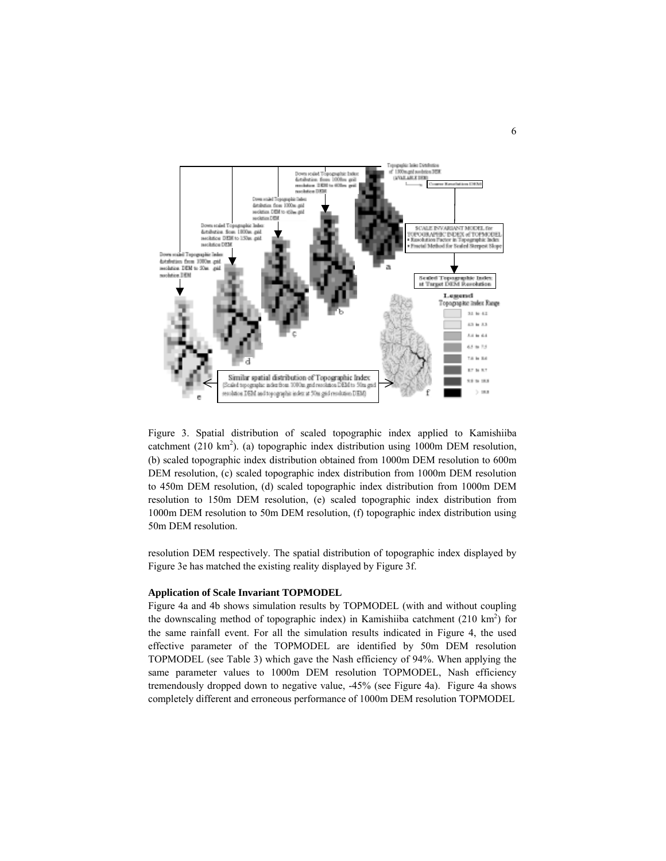

Figure 3. Spatial distribution of scaled topographic index applied to Kamishiiba catchment (210 km<sup>2</sup>). (a) topographic index distribution using 1000m DEM resolution, (b) scaled topographic index distribution obtained from 1000m DEM resolution to 600m DEM resolution, (c) scaled topographic index distribution from 1000m DEM resolution to 450m DEM resolution, (d) scaled topographic index distribution from 1000m DEM resolution to 150m DEM resolution, (e) scaled topographic index distribution from 1000m DEM resolution to 50m DEM resolution, (f) topographic index distribution using 50m DEM resolution.

resolution DEM respectively. The spatial distribution of topographic index displayed by Figure 3e has matched the existing reality displayed by Figure 3f.

#### **Application of Scale Invariant TOPMODEL**

Figure 4a and 4b shows simulation results by TOPMODEL (with and without coupling the downscaling method of topographic index) in Kamishiiba catchment  $(210 \text{ km}^2)$  for the same rainfall event. For all the simulation results indicated in Figure 4, the used effective parameter of the TOPMODEL are identified by 50m DEM resolution TOPMODEL (see Table 3) which gave the Nash efficiency of 94%. When applying the same parameter values to 1000m DEM resolution TOPMODEL, Nash efficiency tremendously dropped down to negative value, -45% (see Figure 4a). Figure 4a shows completely different and erroneous performance of 1000m DEM resolution TOPMODEL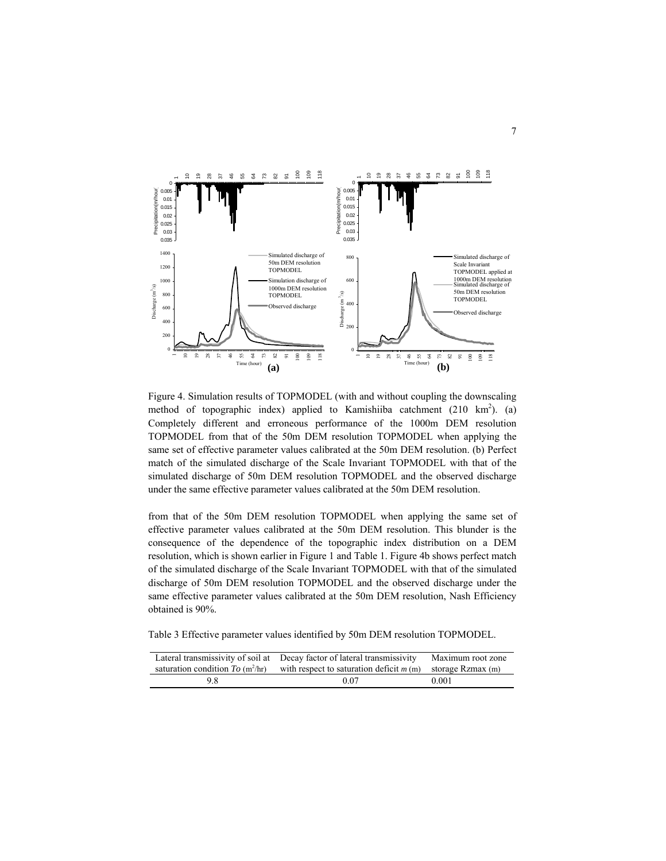

Figure 4. Simulation results of TOPMODEL (with and without coupling the downscaling method of topographic index) applied to Kamishiiba catchment  $(210 \text{ km}^2)$ . (a) Completely different and erroneous performance of the 1000m DEM resolution TOPMODEL from that of the 50m DEM resolution TOPMODEL when applying the same set of effective parameter values calibrated at the 50m DEM resolution. (b) Perfect match of the simulated discharge of the Scale Invariant TOPMODEL with that of the simulated discharge of 50m DEM resolution TOPMODEL and the observed discharge under the same effective parameter values calibrated at the 50m DEM resolution.

from that of the 50m DEM resolution TOPMODEL when applying the same set of effective parameter values calibrated at the 50m DEM resolution. This blunder is the consequence of the dependence of the topographic index distribution on a DEM resolution, which is shown earlier in Figure 1 and Table 1. Figure 4b shows perfect match of the simulated discharge of the Scale Invariant TOPMODEL with that of the simulated discharge of 50m DEM resolution TOPMODEL and the observed discharge under the same effective parameter values calibrated at the 50m DEM resolution, Nash Efficiency obtained is 90%.

Table 3 Effective parameter values identified by 50m DEM resolution TOPMODEL.

|                                                     | Lateral transmissivity of soil at Decay factor of lateral transmissivity | Maximum root zone |
|-----------------------------------------------------|--------------------------------------------------------------------------|-------------------|
| saturation condition $To \, (\text{m}^2/\text{hr})$ | with respect to saturation deficit $m(m)$ storage Rzmax (m)              |                   |
| 98                                                  | 0.07                                                                     | 0.001             |